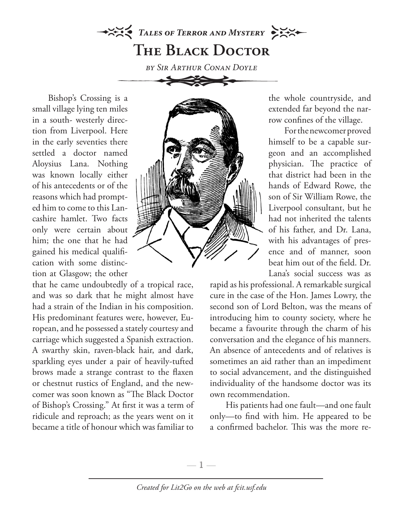## *TALES OF TERROR AND MYSTERY* **The Black Doctor**

*by Sir Arthur Conan Doyle*

Bishop's Crossing is a small village lying ten miles in a south- westerly direction from Liverpool. Here in the early seventies there settled a doctor named Aloysius Lana. Nothing was known locally either of his antecedents or of the reasons which had prompted him to come to this Lancashire hamlet. Two facts only were certain about him; the one that he had gained his medical qualification with some distinction at Glasgow; the other

that he came undoubtedly of a tropical race, and was so dark that he might almost have had a strain of the Indian in his composition. His predominant features were, however, European, and he possessed a stately courtesy and carriage which suggested a Spanish extraction. A swarthy skin, raven-black hair, and dark, sparkling eyes under a pair of heavily-tufted brows made a strange contrast to the flaxen or chestnut rustics of England, and the newcomer was soon known as "The Black Doctor of Bishop's Crossing." At first it was a term of ridicule and reproach; as the years went on it became a title of honour which was familiar to



the whole countryside, and extended far beyond the narrow confines of the village.

For the newcomer proved himself to be a capable surgeon and an accomplished physician. The practice of that district had been in the hands of Edward Rowe, the son of Sir William Rowe, the Liverpool consultant, but he had not inherited the talents of his father, and Dr. Lana, with his advantages of presence and of manner, soon beat him out of the field. Dr. Lana's social success was as

rapid as his professional. A remarkable surgical cure in the case of the Hon. James Lowry, the second son of Lord Belton, was the means of introducing him to county society, where he became a favourite through the charm of his conversation and the elegance of his manners. An absence of antecedents and of relatives is sometimes an aid rather than an impediment to social advancement, and the distinguished individuality of the handsome doctor was its own recommendation.

His patients had one fault—and one fault only—to find with him. He appeared to be a confirmed bachelor. This was the more re-

*Created for Lit2Go on the web at fcit.usf.edu*

—  $\mathbb{1}$  —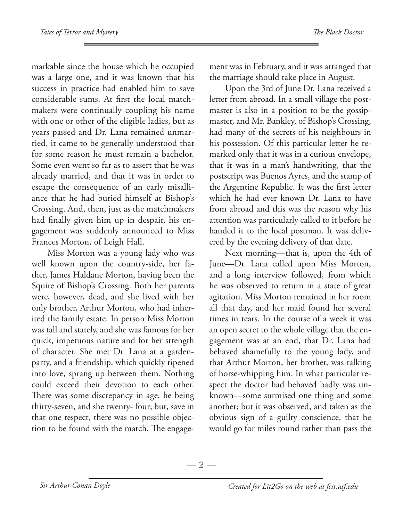markable since the house which he occupied was a large one, and it was known that his success in practice had enabled him to save considerable sums. At first the local matchmakers were continually coupling his name with one or other of the eligible ladies, but as years passed and Dr. Lana remained unmarried, it came to be generally understood that for some reason he must remain a bachelor. Some even went so far as to assert that he was already married, and that it was in order to escape the consequence of an early misalliance that he had buried himself at Bishop's Crossing. And, then, just as the matchmakers had finally given him up in despair, his engagement was suddenly announced to Miss Frances Morton, of Leigh Hall.

Miss Morton was a young lady who was well known upon the country-side, her father, James Haldane Morton, having been the Squire of Bishop's Crossing. Both her parents were, however, dead, and she lived with her only brother, Arthur Morton, who had inherited the family estate. In person Miss Morton was tall and stately, and she was famous for her quick, impetuous nature and for her strength of character. She met Dr. Lana at a gardenparty, and a friendship, which quickly ripened into love, sprang up between them. Nothing could exceed their devotion to each other. There was some discrepancy in age, he being thirty-seven, and she twenty- four; but, save in that one respect, there was no possible objection to be found with the match. The engagement was in February, and it was arranged that the marriage should take place in August.

Upon the 3rd of June Dr. Lana received a letter from abroad. In a small village the postmaster is also in a position to be the gossipmaster, and Mr. Bankley, of Bishop's Crossing, had many of the secrets of his neighbours in his possession. Of this particular letter he remarked only that it was in a curious envelope, that it was in a man's handwriting, that the postscript was Buenos Ayres, and the stamp of the Argentine Republic. It was the first letter which he had ever known Dr. Lana to have from abroad and this was the reason why his attention was particularly called to it before he handed it to the local postman. It was delivered by the evening delivery of that date.

Next morning—that is, upon the 4th of June—Dr. Lana called upon Miss Morton, and a long interview followed, from which he was observed to return in a state of great agitation. Miss Morton remained in her room all that day, and her maid found her several times in tears. In the course of a week it was an open secret to the whole village that the engagement was at an end, that Dr. Lana had behaved shamefully to the young lady, and that Arthur Morton, her brother, was talking of horse-whipping him. In what particular respect the doctor had behaved badly was unknown—some surmised one thing and some another; but it was observed, and taken as the obvious sign of a guilty conscience, that he would go for miles round rather than pass the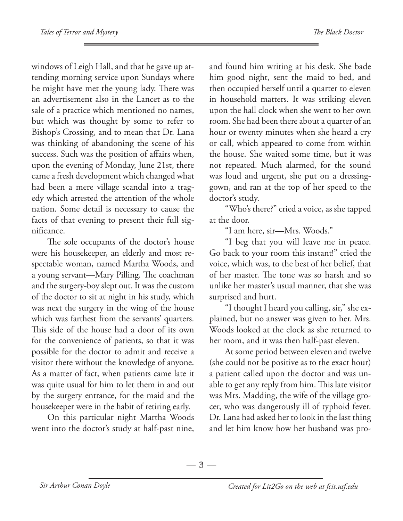windows of Leigh Hall, and that he gave up attending morning service upon Sundays where he might have met the young lady. There was an advertisement also in the Lancet as to the sale of a practice which mentioned no names, but which was thought by some to refer to Bishop's Crossing, and to mean that Dr. Lana was thinking of abandoning the scene of his success. Such was the position of affairs when, upon the evening of Monday, June 21st, there came a fresh development which changed what had been a mere village scandal into a tragedy which arrested the attention of the whole nation. Some detail is necessary to cause the facts of that evening to present their full significance.

The sole occupants of the doctor's house were his housekeeper, an elderly and most respectable woman, named Martha Woods, and a young servant—Mary Pilling. The coachman and the surgery-boy slept out. It was the custom of the doctor to sit at night in his study, which was next the surgery in the wing of the house which was farthest from the servants' quarters. This side of the house had a door of its own for the convenience of patients, so that it was possible for the doctor to admit and receive a visitor there without the knowledge of anyone. As a matter of fact, when patients came late it was quite usual for him to let them in and out by the surgery entrance, for the maid and the housekeeper were in the habit of retiring early.

On this particular night Martha Woods went into the doctor's study at half-past nine,

and found him writing at his desk. She bade him good night, sent the maid to bed, and then occupied herself until a quarter to eleven in household matters. It was striking eleven upon the hall clock when she went to her own room. She had been there about a quarter of an hour or twenty minutes when she heard a cry or call, which appeared to come from within the house. She waited some time, but it was not repeated. Much alarmed, for the sound was loud and urgent, she put on a dressinggown, and ran at the top of her speed to the doctor's study.

"Who's there?" cried a voice, as she tapped at the door.

"I am here, sir—Mrs. Woods."

"I beg that you will leave me in peace. Go back to your room this instant!" cried the voice, which was, to the best of her belief, that of her master. The tone was so harsh and so unlike her master's usual manner, that she was surprised and hurt.

"I thought I heard you calling, sir," she explained, but no answer was given to her. Mrs. Woods looked at the clock as she returned to her room, and it was then half-past eleven.

At some period between eleven and twelve (she could not be positive as to the exact hour) a patient called upon the doctor and was unable to get any reply from him. This late visitor was Mrs. Madding, the wife of the village grocer, who was dangerously ill of typhoid fever. Dr. Lana had asked her to look in the last thing and let him know how her husband was pro-

 $-3-$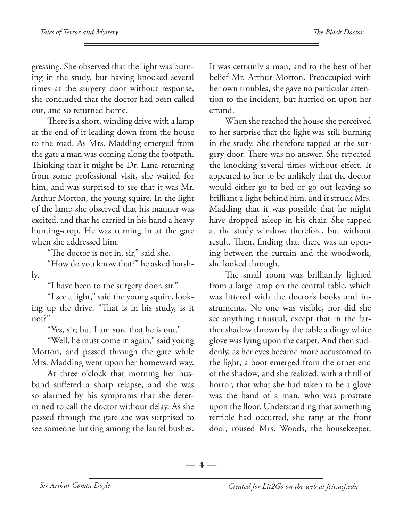gressing. She observed that the light was burning in the study, but having knocked several times at the surgery door without response, she concluded that the doctor had been called out, and so returned home.

There is a short, winding drive with a lamp at the end of it leading down from the house to the road. As Mrs. Madding emerged from the gate a man was coming along the footpath. Thinking that it might be Dr. Lana returning from some professional visit, she waited for him, and was surprised to see that it was Mr. Arthur Morton, the young squire. In the light of the lamp she observed that his manner was excited, and that he carried in his hand a heavy hunting-crop. He was turning in at the gate when she addressed him.

"The doctor is not in, sir," said she.

"How do you know that?" he asked harshly.

"I have been to the surgery door, sir."

"I see a light," said the young squire, looking up the drive. "That is in his study, is it not?"

"Yes, sir; but I am sure that he is out."

"Well, he must come in again," said young Morton, and passed through the gate while Mrs. Madding went upon her homeward way.

At three o'clock that morning her husband suffered a sharp relapse, and she was so alarmed by his symptoms that she determined to call the doctor without delay. As she passed through the gate she was surprised to see someone lurking among the laurel bushes. It was certainly a man, and to the best of her belief Mr. Arthur Morton. Preoccupied with her own troubles, she gave no particular attention to the incident, but hurried on upon her errand.

When she reached the house she perceived to her surprise that the light was still burning in the study. She therefore tapped at the surgery door. There was no answer. She repeated the knocking several times without effect. It appeared to her to be unlikely that the doctor would either go to bed or go out leaving so brilliant a light behind him, and it struck Mrs. Madding that it was possible that he might have dropped asleep in his chair. She tapped at the study window, therefore, but without result. Then, finding that there was an opening between the curtain and the woodwork, she looked through.

The small room was brilliantly lighted from a large lamp on the central table, which was littered with the doctor's books and instruments. No one was visible, nor did she see anything unusual, except that in the farther shadow thrown by the table a dingy white glove was lying upon the carpet. And then suddenly, as her eyes became more accustomed to the light, a boot emerged from the other end of the shadow, and she realized, with a thrill of horror, that what she had taken to be a glove was the hand of a man, who was prostrate upon the floor. Understanding that something terrible had occurred, she rang at the front door, roused Mrs. Woods, the housekeeper,

 $-4-$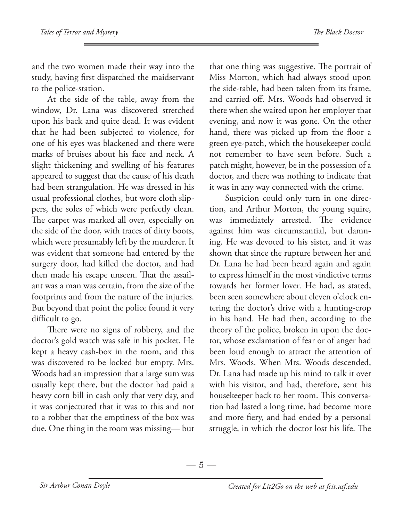and the two women made their way into the study, having first dispatched the maidservant to the police-station.

At the side of the table, away from the window, Dr. Lana was discovered stretched upon his back and quite dead. It was evident that he had been subjected to violence, for one of his eyes was blackened and there were marks of bruises about his face and neck. A slight thickening and swelling of his features appeared to suggest that the cause of his death had been strangulation. He was dressed in his usual professional clothes, but wore cloth slippers, the soles of which were perfectly clean. The carpet was marked all over, especially on the side of the door, with traces of dirty boots, which were presumably left by the murderer. It was evident that someone had entered by the surgery door, had killed the doctor, and had then made his escape unseen. That the assailant was a man was certain, from the size of the footprints and from the nature of the injuries. But beyond that point the police found it very difficult to go.

There were no signs of robbery, and the doctor's gold watch was safe in his pocket. He kept a heavy cash-box in the room, and this was discovered to be locked but empty. Mrs. Woods had an impression that a large sum was usually kept there, but the doctor had paid a heavy corn bill in cash only that very day, and it was conjectured that it was to this and not to a robber that the emptiness of the box was due. One thing in the room was missing— but

that one thing was suggestive. The portrait of Miss Morton, which had always stood upon the side-table, had been taken from its frame, and carried off. Mrs. Woods had observed it there when she waited upon her employer that evening, and now it was gone. On the other hand, there was picked up from the floor a green eye-patch, which the housekeeper could not remember to have seen before. Such a patch might, however, be in the possession of a doctor, and there was nothing to indicate that it was in any way connected with the crime.

Suspicion could only turn in one direction, and Arthur Morton, the young squire, was immediately arrested. The evidence against him was circumstantial, but damning. He was devoted to his sister, and it was shown that since the rupture between her and Dr. Lana he had been heard again and again to express himself in the most vindictive terms towards her former lover. He had, as stated, been seen somewhere about eleven o'clock entering the doctor's drive with a hunting-crop in his hand. He had then, according to the theory of the police, broken in upon the doctor, whose exclamation of fear or of anger had been loud enough to attract the attention of Mrs. Woods. When Mrs. Woods descended, Dr. Lana had made up his mind to talk it over with his visitor, and had, therefore, sent his housekeeper back to her room. This conversation had lasted a long time, had become more and more fiery, and had ended by a personal struggle, in which the doctor lost his life. The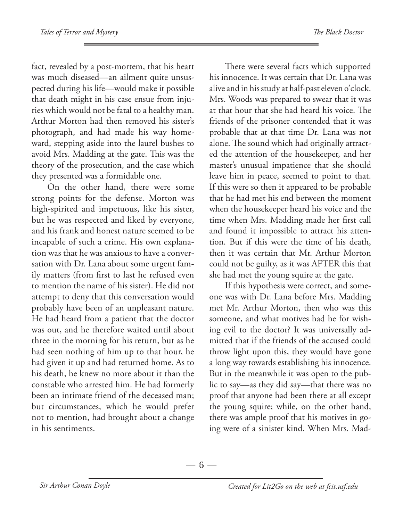fact, revealed by a post-mortem, that his heart was much diseased—an ailment quite unsuspected during his life—would make it possible that death might in his case ensue from injuries which would not be fatal to a healthy man. Arthur Morton had then removed his sister's photograph, and had made his way homeward, stepping aside into the laurel bushes to avoid Mrs. Madding at the gate. This was the theory of the prosecution, and the case which they presented was a formidable one.

On the other hand, there were some strong points for the defense. Morton was high-spirited and impetuous, like his sister, but he was respected and liked by everyone, and his frank and honest nature seemed to be incapable of such a crime. His own explanation was that he was anxious to have a conversation with Dr. Lana about some urgent family matters (from first to last he refused even to mention the name of his sister). He did not attempt to deny that this conversation would probably have been of an unpleasant nature. He had heard from a patient that the doctor was out, and he therefore waited until about three in the morning for his return, but as he had seen nothing of him up to that hour, he had given it up and had returned home. As to his death, he knew no more about it than the constable who arrested him. He had formerly been an intimate friend of the deceased man; but circumstances, which he would prefer not to mention, had brought about a change in his sentiments.

There were several facts which supported his innocence. It was certain that Dr. Lana was alive and in his study at half-past eleven o'clock. Mrs. Woods was prepared to swear that it was at that hour that she had heard his voice. The friends of the prisoner contended that it was probable that at that time Dr. Lana was not alone. The sound which had originally attracted the attention of the housekeeper, and her master's unusual impatience that she should leave him in peace, seemed to point to that. If this were so then it appeared to be probable that he had met his end between the moment when the housekeeper heard his voice and the time when Mrs. Madding made her first call and found it impossible to attract his attention. But if this were the time of his death, then it was certain that Mr. Arthur Morton could not be guilty, as it was AFTER this that she had met the young squire at the gate.

If this hypothesis were correct, and someone was with Dr. Lana before Mrs. Madding met Mr. Arthur Morton, then who was this someone, and what motives had he for wishing evil to the doctor? It was universally admitted that if the friends of the accused could throw light upon this, they would have gone a long way towards establishing his innocence. But in the meanwhile it was open to the public to say—as they did say—that there was no proof that anyone had been there at all except the young squire; while, on the other hand, there was ample proof that his motives in going were of a sinister kind. When Mrs. Mad-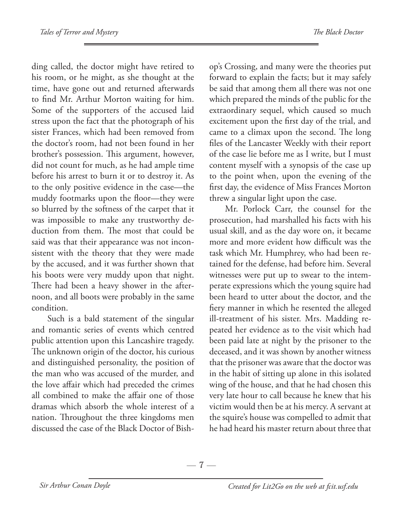ding called, the doctor might have retired to his room, or he might, as she thought at the time, have gone out and returned afterwards to find Mr. Arthur Morton waiting for him. Some of the supporters of the accused laid stress upon the fact that the photograph of his sister Frances, which had been removed from the doctor's room, had not been found in her brother's possession. This argument, however, did not count for much, as he had ample time before his arrest to burn it or to destroy it. As to the only positive evidence in the case—the muddy footmarks upon the floor—they were so blurred by the softness of the carpet that it was impossible to make any trustworthy deduction from them. The most that could be said was that their appearance was not inconsistent with the theory that they were made by the accused, and it was further shown that his boots were very muddy upon that night. There had been a heavy shower in the afternoon, and all boots were probably in the same condition.

Such is a bald statement of the singular and romantic series of events which centred public attention upon this Lancashire tragedy. The unknown origin of the doctor, his curious and distinguished personality, the position of the man who was accused of the murder, and the love affair which had preceded the crimes all combined to make the affair one of those dramas which absorb the whole interest of a nation. Throughout the three kingdoms men discussed the case of the Black Doctor of Bishop's Crossing, and many were the theories put forward to explain the facts; but it may safely be said that among them all there was not one which prepared the minds of the public for the extraordinary sequel, which caused so much excitement upon the first day of the trial, and came to a climax upon the second. The long files of the Lancaster Weekly with their report of the case lie before me as I write, but I must content myself with a synopsis of the case up to the point when, upon the evening of the first day, the evidence of Miss Frances Morton threw a singular light upon the case.

Mr. Porlock Carr, the counsel for the prosecution, had marshalled his facts with his usual skill, and as the day wore on, it became more and more evident how difficult was the task which Mr. Humphrey, who had been retained for the defense, had before him. Several witnesses were put up to swear to the intemperate expressions which the young squire had been heard to utter about the doctor, and the fiery manner in which he resented the alleged ill-treatment of his sister. Mrs. Madding repeated her evidence as to the visit which had been paid late at night by the prisoner to the deceased, and it was shown by another witness that the prisoner was aware that the doctor was in the habit of sitting up alone in this isolated wing of the house, and that he had chosen this very late hour to call because he knew that his victim would then be at his mercy. A servant at the squire's house was compelled to admit that he had heard his master return about three that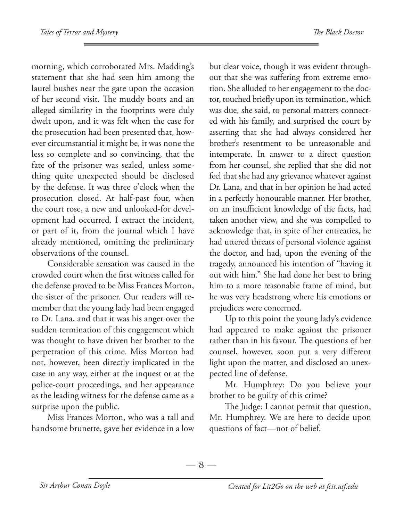morning, which corroborated Mrs. Madding's statement that she had seen him among the laurel bushes near the gate upon the occasion of her second visit. The muddy boots and an alleged similarity in the footprints were duly dwelt upon, and it was felt when the case for the prosecution had been presented that, however circumstantial it might be, it was none the less so complete and so convincing, that the fate of the prisoner was sealed, unless something quite unexpected should be disclosed by the defense. It was three o'clock when the prosecution closed. At half-past four, when the court rose, a new and unlooked-for development had occurred. I extract the incident, or part of it, from the journal which I have already mentioned, omitting the preliminary observations of the counsel.

Considerable sensation was caused in the crowded court when the first witness called for the defense proved to be Miss Frances Morton, the sister of the prisoner. Our readers will remember that the young lady had been engaged to Dr. Lana, and that it was his anger over the sudden termination of this engagement which was thought to have driven her brother to the perpetration of this crime. Miss Morton had not, however, been directly implicated in the case in any way, either at the inquest or at the police-court proceedings, and her appearance as the leading witness for the defense came as a surprise upon the public.

Miss Frances Morton, who was a tall and handsome brunette, gave her evidence in a low but clear voice, though it was evident throughout that she was suffering from extreme emotion. She alluded to her engagement to the doctor, touched briefly upon its termination, which was due, she said, to personal matters connected with his family, and surprised the court by asserting that she had always considered her brother's resentment to be unreasonable and intemperate. In answer to a direct question from her counsel, she replied that she did not feel that she had any grievance whatever against Dr. Lana, and that in her opinion he had acted in a perfectly honourable manner. Her brother, on an insufficient knowledge of the facts, had taken another view, and she was compelled to acknowledge that, in spite of her entreaties, he had uttered threats of personal violence against the doctor, and had, upon the evening of the tragedy, announced his intention of "having it out with him." She had done her best to bring him to a more reasonable frame of mind, but he was very headstrong where his emotions or prejudices were concerned.

Up to this point the young lady's evidence had appeared to make against the prisoner rather than in his favour. The questions of her counsel, however, soon put a very different light upon the matter, and disclosed an unexpected line of defense.

Mr. Humphrey: Do you believe your brother to be guilty of this crime?

The Judge: I cannot permit that question, Mr. Humphrey. We are here to decide upon questions of fact—not of belief.

 $-8-$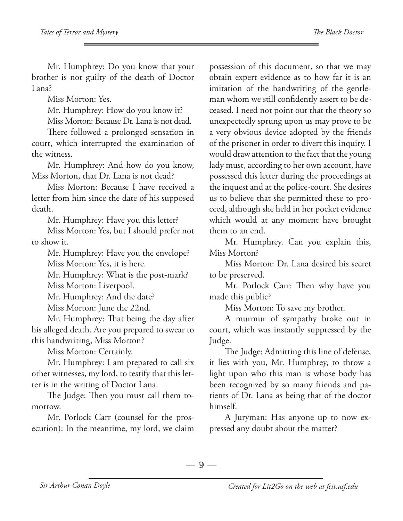Mr. Humphrey: Do you know that your brother is not guilty of the death of Doctor Lana?

Miss Morton: Yes.

Mr. Humphrey: How do you know it?

Miss Morton: Because Dr. Lana is not dead.

There followed a prolonged sensation in court, which interrupted the examination of the witness.

Mr. Humphrey: And how do you know, Miss Morton, that Dr. Lana is not dead?

Miss Morton: Because I have received a letter from him since the date of his supposed death.

Mr. Humphrey: Have you this letter?

Miss Morton: Yes, but I should prefer not to show it.

Mr. Humphrey: Have you the envelope? Miss Morton: Yes, it is here.

Mr. Humphrey: What is the post-mark? Miss Morton: Liverpool.

Mr. Humphrey: And the date?

Miss Morton: June the 22nd.

Mr. Humphrey: That being the day after his alleged death. Are you prepared to swear to this handwriting, Miss Morton?

Miss Morton: Certainly.

Mr. Humphrey: I am prepared to call six other witnesses, my lord, to testify that this letter is in the writing of Doctor Lana.

The Judge: Then you must call them tomorrow.

Mr. Porlock Carr (counsel for the prosecution): In the meantime, my lord, we claim possession of this document, so that we may obtain expert evidence as to how far it is an imitation of the handwriting of the gentleman whom we still confidently assert to be deceased. I need not point out that the theory so unexpectedly sprung upon us may prove to be a very obvious device adopted by the friends of the prisoner in order to divert this inquiry. I would draw attention to the fact that the young lady must, according to her own account, have possessed this letter during the proceedings at the inquest and at the police-court. She desires us to believe that she permitted these to proceed, although she held in her pocket evidence which would at any moment have brought them to an end.

Mr. Humphrey. Can you explain this, Miss Morton?

Miss Morton: Dr. Lana desired his secret to be preserved.

Mr. Porlock Carr: Then why have you made this public?

Miss Morton: To save my brother.

A murmur of sympathy broke out in court, which was instantly suppressed by the Judge.

The Judge: Admitting this line of defense, it lies with you, Mr. Humphrey, to throw a light upon who this man is whose body has been recognized by so many friends and patients of Dr. Lana as being that of the doctor himself.

A Juryman: Has anyone up to now expressed any doubt about the matter?

 $-9-$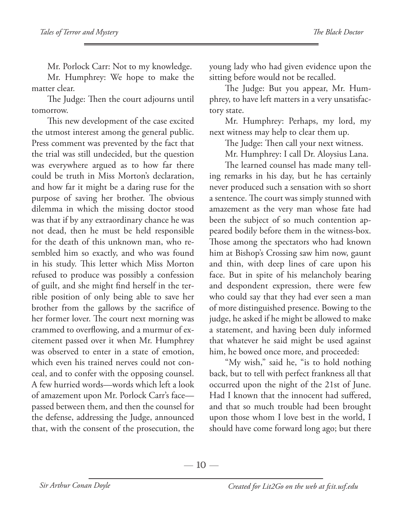Mr. Porlock Carr: Not to my knowledge.

Mr. Humphrey: We hope to make the matter clear.

The Judge: Then the court adjourns until tomorrow.

This new development of the case excited the utmost interest among the general public. Press comment was prevented by the fact that the trial was still undecided, but the question was everywhere argued as to how far there could be truth in Miss Morton's declaration, and how far it might be a daring ruse for the purpose of saving her brother. The obvious dilemma in which the missing doctor stood was that if by any extraordinary chance he was not dead, then he must be held responsible for the death of this unknown man, who resembled him so exactly, and who was found in his study. This letter which Miss Morton refused to produce was possibly a confession of guilt, and she might find herself in the terrible position of only being able to save her brother from the gallows by the sacrifice of her former lover. The court next morning was crammed to overflowing, and a murmur of excitement passed over it when Mr. Humphrey was observed to enter in a state of emotion, which even his trained nerves could not conceal, and to confer with the opposing counsel. A few hurried words—words which left a look of amazement upon Mr. Porlock Carr's face passed between them, and then the counsel for the defense, addressing the Judge, announced that, with the consent of the prosecution, the

young lady who had given evidence upon the sitting before would not be recalled.

The Judge: But you appear, Mr. Humphrey, to have left matters in a very unsatisfactory state.

Mr. Humphrey: Perhaps, my lord, my next witness may help to clear them up.

The Judge: Then call your next witness.

Mr. Humphrey: I call Dr. Aloysius Lana.

The learned counsel has made many telling remarks in his day, but he has certainly never produced such a sensation with so short a sentence. The court was simply stunned with amazement as the very man whose fate had been the subject of so much contention appeared bodily before them in the witness-box. Those among the spectators who had known him at Bishop's Crossing saw him now, gaunt and thin, with deep lines of care upon his face. But in spite of his melancholy bearing and despondent expression, there were few who could say that they had ever seen a man of more distinguished presence. Bowing to the judge, he asked if he might be allowed to make a statement, and having been duly informed that whatever he said might be used against him, he bowed once more, and proceeded:

"My wish," said he, "is to hold nothing back, but to tell with perfect frankness all that occurred upon the night of the 21st of June. Had I known that the innocent had suffered, and that so much trouble had been brought upon those whom I love best in the world, I should have come forward long ago; but there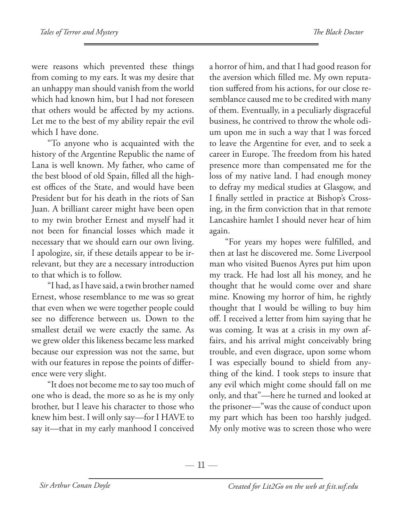were reasons which prevented these things from coming to my ears. It was my desire that an unhappy man should vanish from the world which had known him, but I had not foreseen that others would be affected by my actions. Let me to the best of my ability repair the evil which I have done.

"To anyone who is acquainted with the history of the Argentine Republic the name of Lana is well known. My father, who came of the best blood of old Spain, filled all the highest offices of the State, and would have been President but for his death in the riots of San Juan. A brilliant career might have been open to my twin brother Ernest and myself had it not been for financial losses which made it necessary that we should earn our own living. I apologize, sir, if these details appear to be irrelevant, but they are a necessary introduction to that which is to follow.

"I had, as I have said, a twin brother named Ernest, whose resemblance to me was so great that even when we were together people could see no difference between us. Down to the smallest detail we were exactly the same. As we grew older this likeness became less marked because our expression was not the same, but with our features in repose the points of difference were very slight.

"It does not become me to say too much of one who is dead, the more so as he is my only brother, but I leave his character to those who knew him best. I will only say—for I HAVE to say it—that in my early manhood I conceived

a horror of him, and that I had good reason for the aversion which filled me. My own reputation suffered from his actions, for our close resemblance caused me to be credited with many of them. Eventually, in a peculiarly disgraceful business, he contrived to throw the whole odium upon me in such a way that I was forced to leave the Argentine for ever, and to seek a career in Europe. The freedom from his hated presence more than compensated me for the loss of my native land. I had enough money to defray my medical studies at Glasgow, and I finally settled in practice at Bishop's Crossing, in the firm conviction that in that remote Lancashire hamlet I should never hear of him again.

"For years my hopes were fulfilled, and then at last he discovered me. Some Liverpool man who visited Buenos Ayres put him upon my track. He had lost all his money, and he thought that he would come over and share mine. Knowing my horror of him, he rightly thought that I would be willing to buy him off. I received a letter from him saying that he was coming. It was at a crisis in my own affairs, and his arrival might conceivably bring trouble, and even disgrace, upon some whom I was especially bound to shield from anything of the kind. I took steps to insure that any evil which might come should fall on me only, and that"—here he turned and looked at the prisoner—"was the cause of conduct upon my part which has been too harshly judged. My only motive was to screen those who were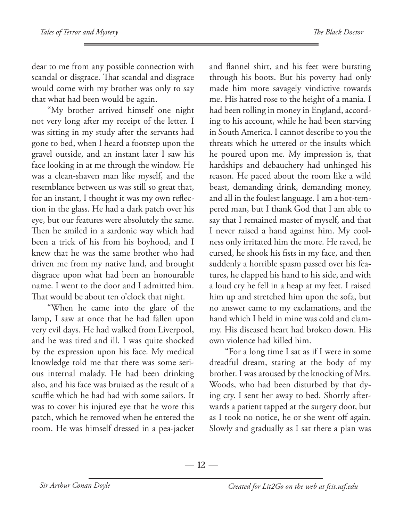dear to me from any possible connection with scandal or disgrace. That scandal and disgrace would come with my brother was only to say that what had been would be again.

"My brother arrived himself one night not very long after my receipt of the letter. I was sitting in my study after the servants had gone to bed, when I heard a footstep upon the gravel outside, and an instant later I saw his face looking in at me through the window. He was a clean-shaven man like myself, and the resemblance between us was still so great that, for an instant, I thought it was my own reflection in the glass. He had a dark patch over his eye, but our features were absolutely the same. Then he smiled in a sardonic way which had been a trick of his from his boyhood, and I knew that he was the same brother who had driven me from my native land, and brought disgrace upon what had been an honourable name. I went to the door and I admitted him. That would be about ten o'clock that night.

"When he came into the glare of the lamp, I saw at once that he had fallen upon very evil days. He had walked from Liverpool, and he was tired and ill. I was quite shocked by the expression upon his face. My medical knowledge told me that there was some serious internal malady. He had been drinking also, and his face was bruised as the result of a scuffle which he had had with some sailors. It was to cover his injured eye that he wore this patch, which he removed when he entered the room. He was himself dressed in a pea-jacket and flannel shirt, and his feet were bursting through his boots. But his poverty had only made him more savagely vindictive towards me. His hatred rose to the height of a mania. I had been rolling in money in England, according to his account, while he had been starving in South America. I cannot describe to you the threats which he uttered or the insults which he poured upon me. My impression is, that hardships and debauchery had unhinged his reason. He paced about the room like a wild beast, demanding drink, demanding money, and all in the foulest language. I am a hot-tempered man, but I thank God that I am able to say that I remained master of myself, and that I never raised a hand against him. My coolness only irritated him the more. He raved, he cursed, he shook his fists in my face, and then suddenly a horrible spasm passed over his features, he clapped his hand to his side, and with a loud cry he fell in a heap at my feet. I raised him up and stretched him upon the sofa, but no answer came to my exclamations, and the hand which I held in mine was cold and clammy. His diseased heart had broken down. His own violence had killed him.

"For a long time I sat as if I were in some dreadful dream, staring at the body of my brother. I was aroused by the knocking of Mrs. Woods, who had been disturbed by that dying cry. I sent her away to bed. Shortly afterwards a patient tapped at the surgery door, but as I took no notice, he or she went off again. Slowly and gradually as I sat there a plan was

 $-12-$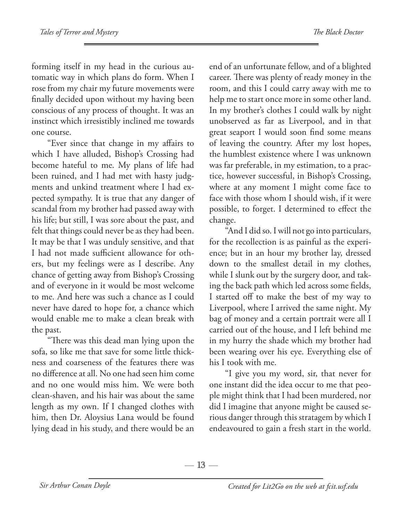forming itself in my head in the curious automatic way in which plans do form. When I rose from my chair my future movements were finally decided upon without my having been conscious of any process of thought. It was an instinct which irresistibly inclined me towards one course.

"Ever since that change in my affairs to which I have alluded, Bishop's Crossing had become hateful to me. My plans of life had been ruined, and I had met with hasty judgments and unkind treatment where I had expected sympathy. It is true that any danger of scandal from my brother had passed away with his life; but still, I was sore about the past, and felt that things could never be as they had been. It may be that I was unduly sensitive, and that I had not made sufficient allowance for others, but my feelings were as I describe. Any chance of getting away from Bishop's Crossing and of everyone in it would be most welcome to me. And here was such a chance as I could never have dared to hope for, a chance which would enable me to make a clean break with the past.

"There was this dead man lying upon the sofa, so like me that save for some little thickness and coarseness of the features there was no difference at all. No one had seen him come and no one would miss him. We were both clean-shaven, and his hair was about the same length as my own. If I changed clothes with him, then Dr. Aloysius Lana would be found lying dead in his study, and there would be an end of an unfortunate fellow, and of a blighted career. There was plenty of ready money in the room, and this I could carry away with me to help me to start once more in some other land. In my brother's clothes I could walk by night unobserved as far as Liverpool, and in that great seaport I would soon find some means of leaving the country. After my lost hopes, the humblest existence where I was unknown was far preferable, in my estimation, to a practice, however successful, in Bishop's Crossing, where at any moment I might come face to face with those whom I should wish, if it were possible, to forget. I determined to effect the change.

"And I did so. I will not go into particulars, for the recollection is as painful as the experience; but in an hour my brother lay, dressed down to the smallest detail in my clothes, while I slunk out by the surgery door, and taking the back path which led across some fields, I started off to make the best of my way to Liverpool, where I arrived the same night. My bag of money and a certain portrait were all I carried out of the house, and I left behind me in my hurry the shade which my brother had been wearing over his eye. Everything else of his I took with me.

"I give you my word, sir, that never for one instant did the idea occur to me that people might think that I had been murdered, nor did I imagine that anyone might be caused serious danger through this stratagem by which I endeavoured to gain a fresh start in the world.

 $-13-$